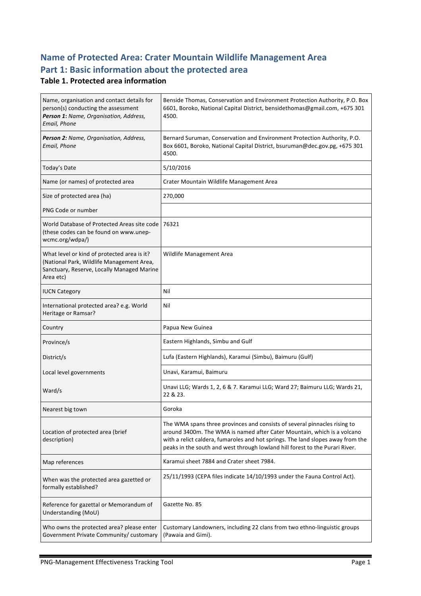## **Name of Protected Area: Crater Mountain Wildlife Management Area** Part 1: Basic information about the protected area

### **Table 1. Protected area information**

| Name, organisation and contact details for<br>person(s) conducting the assessment<br>Person 1: Name, Organisation, Address,<br>Email, Phone         | Benside Thomas, Conservation and Environment Protection Authority, P.O. Box<br>6601, Boroko, National Capital District, bensidethomas@gmail.com, +675 301<br>4500.                                                                                                                                                      |
|-----------------------------------------------------------------------------------------------------------------------------------------------------|-------------------------------------------------------------------------------------------------------------------------------------------------------------------------------------------------------------------------------------------------------------------------------------------------------------------------|
| Person 2: Name, Organisation, Address,<br>Email, Phone                                                                                              | Bernard Suruman, Conservation and Environment Protection Authority, P.O.<br>Box 6601, Boroko, National Capital District, bsuruman@dec.gov.pg, +675 301<br>4500.                                                                                                                                                         |
| Today's Date                                                                                                                                        | 5/10/2016                                                                                                                                                                                                                                                                                                               |
| Name (or names) of protected area                                                                                                                   | Crater Mountain Wildlife Management Area                                                                                                                                                                                                                                                                                |
| Size of protected area (ha)                                                                                                                         | 270,000                                                                                                                                                                                                                                                                                                                 |
| PNG Code or number                                                                                                                                  |                                                                                                                                                                                                                                                                                                                         |
| World Database of Protected Areas site code<br>(these codes can be found on www.unep-<br>wcmc.org/wdpa/)                                            | 76321                                                                                                                                                                                                                                                                                                                   |
| What level or kind of protected area is it?<br>(National Park, Wildlife Management Area,<br>Sanctuary, Reserve, Locally Managed Marine<br>Area etc) | Wildlife Management Area                                                                                                                                                                                                                                                                                                |
| <b>IUCN Category</b>                                                                                                                                | Nil                                                                                                                                                                                                                                                                                                                     |
| International protected area? e.g. World<br>Heritage or Ramsar?                                                                                     | Nil                                                                                                                                                                                                                                                                                                                     |
| Country                                                                                                                                             | Papua New Guinea                                                                                                                                                                                                                                                                                                        |
| Province/s                                                                                                                                          | Eastern Highlands, Simbu and Gulf                                                                                                                                                                                                                                                                                       |
| District/s                                                                                                                                          | Lufa (Eastern Highlands), Karamui (Simbu), Baimuru (Gulf)                                                                                                                                                                                                                                                               |
| Local level governments                                                                                                                             | Unavi, Karamui, Baimuru                                                                                                                                                                                                                                                                                                 |
| Ward/s                                                                                                                                              | Unavi LLG; Wards 1, 2, 6 & 7. Karamui LLG; Ward 27; Baimuru LLG; Wards 21,<br>22 & 23.                                                                                                                                                                                                                                  |
| Nearest big town                                                                                                                                    | Goroka                                                                                                                                                                                                                                                                                                                  |
| Location of protected area (brief<br>description)                                                                                                   | The WMA spans three provinces and consists of several pinnacles rising to<br>around 3400m. The WMA is named after Cater Mountain, which is a volcano<br>with a relict caldera, fumaroles and hot springs. The land slopes away from the<br>peaks in the south and west through lowland hill forest to the Purari River. |
| Map references                                                                                                                                      | Karamui sheet 7884 and Crater sheet 7984.                                                                                                                                                                                                                                                                               |
| When was the protected area gazetted or<br>formally established?                                                                                    | 25/11/1993 (CEPA files indicate 14/10/1993 under the Fauna Control Act).                                                                                                                                                                                                                                                |
| Reference for gazettal or Memorandum of<br>Understanding (MoU)                                                                                      | Gazette No. 85                                                                                                                                                                                                                                                                                                          |
| Who owns the protected area? please enter<br>Government Private Community/ customary                                                                | Customary Landowners, including 22 clans from two ethno-linguistic groups<br>(Pawaia and Gimi).                                                                                                                                                                                                                         |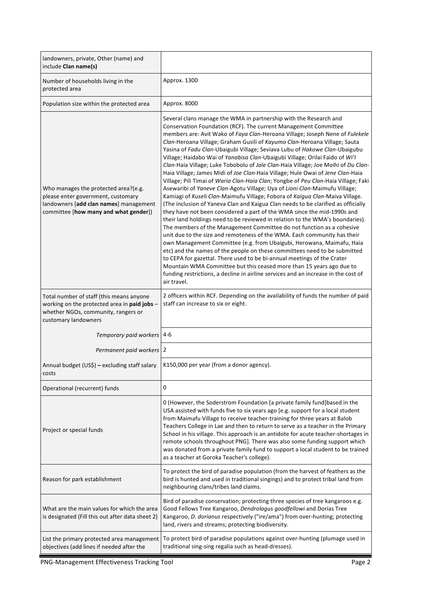| landowners, private, Other (name) and<br>include Clan name(s)                                                                                                 |                                                                                                                                                                                                                                                                                                                                                                                                                                                                                                                                                                                                                                                                                                                                                                                                                                                                                                                                                                                                                                                                                                                                                                                                                                                                                                                                                                                                                                                                                                                                                                                                                                                                                                                |
|---------------------------------------------------------------------------------------------------------------------------------------------------------------|----------------------------------------------------------------------------------------------------------------------------------------------------------------------------------------------------------------------------------------------------------------------------------------------------------------------------------------------------------------------------------------------------------------------------------------------------------------------------------------------------------------------------------------------------------------------------------------------------------------------------------------------------------------------------------------------------------------------------------------------------------------------------------------------------------------------------------------------------------------------------------------------------------------------------------------------------------------------------------------------------------------------------------------------------------------------------------------------------------------------------------------------------------------------------------------------------------------------------------------------------------------------------------------------------------------------------------------------------------------------------------------------------------------------------------------------------------------------------------------------------------------------------------------------------------------------------------------------------------------------------------------------------------------------------------------------------------------|
| Number of households living in the<br>protected area                                                                                                          | Approx. 1300                                                                                                                                                                                                                                                                                                                                                                                                                                                                                                                                                                                                                                                                                                                                                                                                                                                                                                                                                                                                                                                                                                                                                                                                                                                                                                                                                                                                                                                                                                                                                                                                                                                                                                   |
| Population size within the protected area                                                                                                                     | Approx. 8000                                                                                                                                                                                                                                                                                                                                                                                                                                                                                                                                                                                                                                                                                                                                                                                                                                                                                                                                                                                                                                                                                                                                                                                                                                                                                                                                                                                                                                                                                                                                                                                                                                                                                                   |
| Who manages the protected area?(e.g.<br>please enter government, customary<br>landowners [add clan names] management<br>committee [how many and what gender]) | Several clans manage the WMA in partnership with the Research and<br>Conservation Foundation (RCF). The current Management Committee<br>members are: Avit Wako of Faya Clan-Heroana Village; Joseph Nene of Fulekele<br>Clan-Heroana Village; Graham Gusili of Kayumo Clan-Heroana Village; Sauta<br>Yasina of Fadu Clan-Ubaigubi Village; Seviava Lubu of Hakowe Clan-Ubaigubu<br>Village; Haidabo Wai of Yanabisa Clan-Ubaigubi Village; Orilai Faido of Wi'l<br>Clan-Haia Village; Luke Tobobolu of Jale Clan-Haia Village; Joe Moihi of Du Clan-<br>Haia Village; James Midi of Joe Clan-Haia Village; Hule Owai of Jene Clan-Haia<br>Village; Pili Timai of Waria Clan-Haia Clan; Yongbe of Peu Clan-Haia Village; Faki<br>Asewaribi of Yaneve Clan-Agotu Village; Uya of Lioni Clan-Maimufu Village;<br>Kamiagi of Kuseli Clan-Maimufu Village; Fobora of Kaigua Clan-Maiva Village.<br>(The inclusion of Yaneva Clan and Kaigua Clan needs to be clarified as officially<br>they have not been considered a part of the WMA since the mid-1990s and<br>their land holdings need to be reviewed in relation to the WMA's boundaries).<br>The members of the Management Committee do not function as a cohesive<br>unit due to the size and remoteness of the WMA. Each community has their<br>own Management Committee (e.g. from Ubaigubi, Herowana, Maimafu, Haia<br>etc) and the names of the people on these committees need to be submitted<br>to CEPA for gazettal. There used to be bi-annual meetings of the Crater<br>Mountain WMA Committee but this ceased more than 15 years ago due to<br>funding restrictions, a decline in airline services and an increase in the cost of<br>air travel. |
| Total number of staff (this means anyone<br>working on the protected area in paid jobs -<br>whether NGOs, community, rangers or<br>customary landowners       | 2 officers within RCF. Depending on the availability of funds the number of paid<br>staff can increase to six or eight.                                                                                                                                                                                                                                                                                                                                                                                                                                                                                                                                                                                                                                                                                                                                                                                                                                                                                                                                                                                                                                                                                                                                                                                                                                                                                                                                                                                                                                                                                                                                                                                        |
| Temporary paid workers 4-6                                                                                                                                    |                                                                                                                                                                                                                                                                                                                                                                                                                                                                                                                                                                                                                                                                                                                                                                                                                                                                                                                                                                                                                                                                                                                                                                                                                                                                                                                                                                                                                                                                                                                                                                                                                                                                                                                |
| Permanent paid workers 2                                                                                                                                      |                                                                                                                                                                                                                                                                                                                                                                                                                                                                                                                                                                                                                                                                                                                                                                                                                                                                                                                                                                                                                                                                                                                                                                                                                                                                                                                                                                                                                                                                                                                                                                                                                                                                                                                |
| Annual budget (US\$) - excluding staff salary<br>costs                                                                                                        | K150,000 per year (from a donor agency).                                                                                                                                                                                                                                                                                                                                                                                                                                                                                                                                                                                                                                                                                                                                                                                                                                                                                                                                                                                                                                                                                                                                                                                                                                                                                                                                                                                                                                                                                                                                                                                                                                                                       |
| Operational (recurrent) funds                                                                                                                                 | 0                                                                                                                                                                                                                                                                                                                                                                                                                                                                                                                                                                                                                                                                                                                                                                                                                                                                                                                                                                                                                                                                                                                                                                                                                                                                                                                                                                                                                                                                                                                                                                                                                                                                                                              |
| Project or special funds                                                                                                                                      | 0 (However, the Soderstrom Foundation [a private family fund] based in the<br>USA assisted with funds five to six years ago [e.g. support for a local student<br>from Maimafu Village to receive teacher-training for three years at Balob<br>Teachers College in Lae and then to return to serve as a teacher in the Primary<br>School in his village. This approach is an antidote for acute teacher-shortages in<br>remote schools throughout PNG]. There was also some funding support which<br>was donated from a private family fund to support a local student to be trained<br>as a teacher at Goroka Teacher's college).                                                                                                                                                                                                                                                                                                                                                                                                                                                                                                                                                                                                                                                                                                                                                                                                                                                                                                                                                                                                                                                                              |
| Reason for park establishment                                                                                                                                 | To protect the bird of paradise population (from the harvest of feathers as the<br>bird is hunted and used in traditional singings) and to protect tribal land from<br>neighbouring clans/tribes land claims.                                                                                                                                                                                                                                                                                                                                                                                                                                                                                                                                                                                                                                                                                                                                                                                                                                                                                                                                                                                                                                                                                                                                                                                                                                                                                                                                                                                                                                                                                                  |
| What are the main values for which the area<br>is designated (Fill this out after data sheet 2)                                                               | Bird of paradise conservation; protecting three species of tree kangaroos e.g.<br>Good Fellows Tree Kangaroo, Dendrolagus goodfellowi and Dorias Tree<br>Kangaroo, D. dorianus respectively ("ire/ama") from over-hunting; protecting<br>land, rivers and streams; protecting biodiversity.                                                                                                                                                                                                                                                                                                                                                                                                                                                                                                                                                                                                                                                                                                                                                                                                                                                                                                                                                                                                                                                                                                                                                                                                                                                                                                                                                                                                                    |
| List the primary protected area management<br>objectives (add lines if needed after the                                                                       | To protect bird of paradise populations against over-hunting (plumage used in<br>traditional sing-sing regalia such as head-dresses).                                                                                                                                                                                                                                                                                                                                                                                                                                                                                                                                                                                                                                                                                                                                                                                                                                                                                                                                                                                                                                                                                                                                                                                                                                                                                                                                                                                                                                                                                                                                                                          |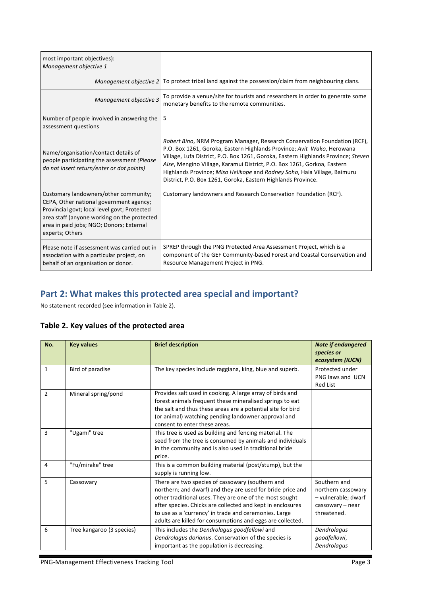| most important objectives):<br>Management objective 1                                                                                                                                                                                          |                                                                                                                                                                                                                                                                                                                                                                                                                                                                 |
|------------------------------------------------------------------------------------------------------------------------------------------------------------------------------------------------------------------------------------------------|-----------------------------------------------------------------------------------------------------------------------------------------------------------------------------------------------------------------------------------------------------------------------------------------------------------------------------------------------------------------------------------------------------------------------------------------------------------------|
| Management objective 2                                                                                                                                                                                                                         | To protect tribal land against the possession/claim from neighbouring clans.                                                                                                                                                                                                                                                                                                                                                                                    |
| Management objective 3                                                                                                                                                                                                                         | To provide a venue/site for tourists and researchers in order to generate some<br>monetary benefits to the remote communities.                                                                                                                                                                                                                                                                                                                                  |
| Number of people involved in answering the<br>assessment questions                                                                                                                                                                             | 5                                                                                                                                                                                                                                                                                                                                                                                                                                                               |
| Name/organisation/contact details of<br>people participating the assessment (Please<br>do not insert return/enter or dot points)                                                                                                               | Robert Bino, NRM Program Manager, Research Conservation Foundation (RCF),<br>P.O. Box 1261, Goroka, Eastern Highlands Province; Avit Wako, Herowana<br>Village, Lufa District, P.O. Box 1261, Goroka, Eastern Highlands Province; Steven<br>Aise, Mengino Village, Karamui District, P.O. Box 1261, Gorkoa, Eastern<br>Highlands Province; Miso Helikope and Rodney Soho, Haia Village, Baimuru<br>District, P.O. Box 1261, Goroka, Eastern Highlands Province. |
| Customary landowners/other community;<br>CEPA, Other national government agency;<br>Provincial govt; local level govt; Protected<br>area staff (anyone working on the protected<br>area in paid jobs; NGO; Donors; External<br>experts; Others | Customary landowners and Research Conservation Foundation (RCF).                                                                                                                                                                                                                                                                                                                                                                                                |
| Please note if assessment was carried out in<br>association with a particular project, on<br>behalf of an organisation or donor.                                                                                                               | SPREP through the PNG Protected Area Assessment Project, which is a<br>component of the GEF Community-based Forest and Coastal Conservation and<br>Resource Management Project in PNG.                                                                                                                                                                                                                                                                          |

# Part 2: What makes this protected area special and important?

No statement recorded (see information in Table 2).

|  |  |  | Table 2. Key values of the protected area |  |
|--|--|--|-------------------------------------------|--|
|--|--|--|-------------------------------------------|--|

| No.            | <b>Key values</b>         | <b>Brief description</b>                                                                                                                                                                                                                                                                                                                                       | <b>Note if endangered</b><br>species or<br>ecosystem (IUCN)                                  |
|----------------|---------------------------|----------------------------------------------------------------------------------------------------------------------------------------------------------------------------------------------------------------------------------------------------------------------------------------------------------------------------------------------------------------|----------------------------------------------------------------------------------------------|
| $\mathbf{1}$   | Bird of paradise          | The key species include raggiana, king, blue and superb.                                                                                                                                                                                                                                                                                                       | Protected under<br>PNG laws and UCN<br><b>Red List</b>                                       |
| $\overline{2}$ | Mineral spring/pond       | Provides salt used in cooking. A large array of birds and<br>forest animals frequent these mineralised springs to eat<br>the salt and thus these areas are a potential site for bird<br>(or animal) watching pending landowner approval and<br>consent to enter these areas.                                                                                   |                                                                                              |
| 3              | "Ugami" tree              | This tree is used as building and fencing material. The<br>seed from the tree is consumed by animals and individuals<br>in the community and is also used in traditional bride<br>price.                                                                                                                                                                       |                                                                                              |
| 4              | "Fu/mirake" tree          | This is a common building material (post/stump), but the<br>supply is running low.                                                                                                                                                                                                                                                                             |                                                                                              |
| 5              | Cassowary                 | There are two species of cassowary (southern and<br>northern; and dwarf) and they are used for bride price and<br>other traditional uses. They are one of the most sought<br>after species. Chicks are collected and kept in enclosures<br>to use as a 'currency' in trade and ceremonies. Large<br>adults are killed for consumptions and eggs are collected. | Southern and<br>northern cassowary<br>- vulnerable; dwarf<br>cassowary - near<br>threatened. |
| 6              | Tree kangaroo (3 species) | This includes the Dendrolagus goodfellowi and<br>Dendrolagus dorianus. Conservation of the species is<br>important as the population is decreasing.                                                                                                                                                                                                            | Dendrolagus<br>goodfellowi,<br>Dendrolagus                                                   |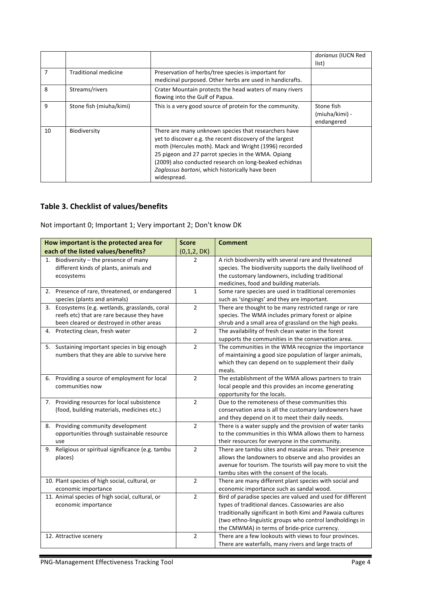|    |                         |                                                                                                                                                                                                                                                                                                                                                             | dorianus (IUCN Red<br>list)                |
|----|-------------------------|-------------------------------------------------------------------------------------------------------------------------------------------------------------------------------------------------------------------------------------------------------------------------------------------------------------------------------------------------------------|--------------------------------------------|
| 7  | Traditional medicine    | Preservation of herbs/tree species is important for<br>medicinal purposed. Other herbs are used in handicrafts.                                                                                                                                                                                                                                             |                                            |
| 8  | Streams/rivers          | Crater Mountain protects the head waters of many rivers<br>flowing into the Gulf of Papua.                                                                                                                                                                                                                                                                  |                                            |
| 9  | Stone fish (miuha/kimi) | This is a very good source of protein for the community.                                                                                                                                                                                                                                                                                                    | Stone fish<br>(miuha/kimi) -<br>endangered |
| 10 | Biodiversity            | There are many unknown species that researchers have<br>yet to discover e.g. the recent discovery of the largest<br>moth (Hercules moth). Mack and Wright (1996) recorded<br>25 pigeon and 27 parrot species in the WMA. Opiang<br>(2009) also conducted research on long-beaked echidnas<br>Zaglossus bartoni, which historically have been<br>widespread. |                                            |

## **Table 3. Checklist of values/benefits**

Not important 0; Important 1; Very important 2; Don't know DK

| How important is the protected area for               | <b>Score</b>   | <b>Comment</b>                                              |
|-------------------------------------------------------|----------------|-------------------------------------------------------------|
| each of the listed values/benefits?                   | (0,1,2, DK)    |                                                             |
| Biodiversity - the presence of many<br>1.             | 2              | A rich biodiversity with several rare and threatened        |
| different kinds of plants, animals and                |                | species. The biodiversity supports the daily livelihood of  |
| ecosystems                                            |                | the customary landowners, including traditional             |
|                                                       |                | medicines, food and building materials.                     |
| Presence of rare, threatened, or endangered<br>2.     | $\mathbf{1}$   | Some rare species are used in traditional ceremonies        |
| species (plants and animals)                          |                | such as 'singsings' and they are important.                 |
| 3. Ecosystems (e.g. wetlands, grasslands, coral       | $\overline{2}$ | There are thought to be many restricted range or rare       |
| reefs etc) that are rare because they have            |                | species. The WMA includes primary forest or alpine          |
| been cleared or destroyed in other areas              |                | shrub and a small area of grassland on the high peaks.      |
| Protecting clean, fresh water<br>4.                   | $\overline{2}$ | The availability of fresh clean water in the forest         |
|                                                       |                | supports the communities in the conservation area.          |
| 5. Sustaining important species in big enough         | $\overline{2}$ | The communities in the WMA recognize the importance         |
| numbers that they are able to survive here            |                | of maintaining a good size population of larger animals,    |
|                                                       |                | which they can depend on to supplement their daily          |
|                                                       |                | meals.                                                      |
| 6. Providing a source of employment for local         | $\overline{2}$ | The establishment of the WMA allows partners to train       |
| communities now                                       |                | local people and this provides an income generating         |
|                                                       |                | opportunity for the locals.                                 |
| 7. Providing resources for local subsistence          | $\overline{2}$ | Due to the remoteness of these communities this             |
| (food, building materials, medicines etc.)            |                | conservation area is all the customary landowners have      |
|                                                       |                | and they depend on it to meet their daily needs.            |
| Providing community development<br>8.                 | $\overline{2}$ | There is a water supply and the provision of water tanks    |
| opportunities through sustainable resource            |                | to the communities in this WMA allows them to harness       |
| use                                                   |                | their resources for everyone in the community.              |
| Religious or spiritual significance (e.g. tambu<br>9. | $\overline{2}$ | There are tambu sites and masalai areas. Their presence     |
| places)                                               |                | allows the landowners to observe and also provides an       |
|                                                       |                | avenue for tourism. The tourists will pay more to visit the |
|                                                       |                | tambu sites with the consent of the locals.                 |
| 10. Plant species of high social, cultural, or        | $\overline{2}$ | There are many different plant species with social and      |
| economic importance                                   |                | economic importance such as sandal wood.                    |
| 11. Animal species of high social, cultural, or       | $\overline{2}$ | Bird of paradise species are valued and used for different  |
| economic importance                                   |                | types of traditional dances. Cassowaries are also           |
|                                                       |                | traditionally significant in both Kimi and Pawaia cultures  |
|                                                       |                | (two ethno-linguistic groups who control landholdings in    |
|                                                       |                | the CMWMA) in terms of bride-price currency.                |
| 12. Attractive scenery                                | $\overline{2}$ | There are a few lookouts with views to four provinces.      |
|                                                       |                | There are waterfalls, many rivers and large tracts of       |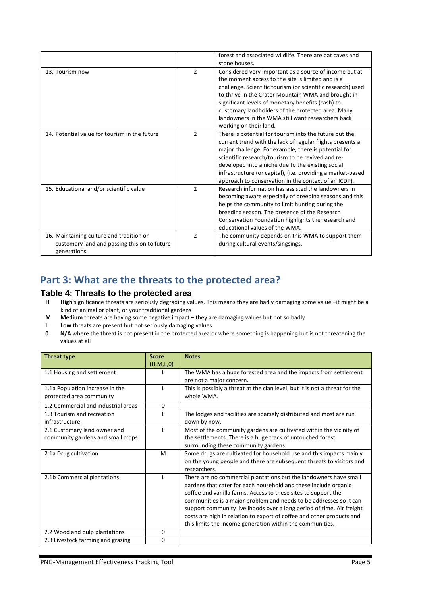|                                               |                | forest and associated wildlife. There are bat caves and     |
|-----------------------------------------------|----------------|-------------------------------------------------------------|
|                                               |                | stone houses.                                               |
| 13. Tourism now                               | $\overline{2}$ | Considered very important as a source of income but at      |
|                                               |                | the moment access to the site is limited and is a           |
|                                               |                | challenge. Scientific tourism (or scientific research) used |
|                                               |                | to thrive in the Crater Mountain WMA and brought in         |
|                                               |                | significant levels of monetary benefits (cash) to           |
|                                               |                | customary landholders of the protected area. Many           |
|                                               |                | landowners in the WMA still want researchers back           |
|                                               |                | working on their land.                                      |
| 14. Potential value for tourism in the future | $\mathcal{P}$  | There is potential for tourism into the future but the      |
|                                               |                | current trend with the lack of regular flights presents a   |
|                                               |                | major challenge. For example, there is potential for        |
|                                               |                | scientific research/tourism to be revived and re-           |
|                                               |                | developed into a niche due to the existing social           |
|                                               |                | infrastructure (or capital), (i.e. providing a market-based |
|                                               |                | approach to conservation in the context of an ICDP).        |
| 15. Educational and/or scientific value       | $\mathcal{P}$  | Research information has assisted the landowners in         |
|                                               |                | becoming aware especially of breeding seasons and this      |
|                                               |                | helps the community to limit hunting during the             |
|                                               |                | breeding season. The presence of the Research               |
|                                               |                | Conservation Foundation highlights the research and         |
|                                               |                | educational values of the WMA.                              |
| 16. Maintaining culture and tradition on      | $\mathcal{P}$  | The community depends on this WMA to support them           |
| customary land and passing this on to future  |                | during cultural events/singsings.                           |
| generations                                   |                |                                                             |

## Part 3: What are the threats to the protected area?

### **Table 4: Threats to the protected area**

- **H** High significance threats are seriously degrading values. This means they are badly damaging some value –it might be a kind of animal or plant, or your traditional gardens
- **M** Medium threats are having some negative impact they are damaging values but not so badly
- **L** Low threats are present but not seriously damaging values
- **0 N/A** where the threat is not present in the protected area or where something is happening but is not threatening the values at all

| <b>Threat type</b>                  | <b>Score</b> | <b>Notes</b>                                                                |
|-------------------------------------|--------------|-----------------------------------------------------------------------------|
|                                     | (H, M, L, 0) |                                                                             |
| 1.1 Housing and settlement          |              | The WMA has a huge forested area and the impacts from settlement            |
|                                     |              | are not a major concern.                                                    |
| 1.1a Population increase in the     |              | This is possibly a threat at the clan level, but it is not a threat for the |
| protected area community            |              | whole WMA.                                                                  |
| 1.2 Commercial and industrial areas | $\Omega$     |                                                                             |
| 1.3 Tourism and recreation          |              | The lodges and facilities are sparsely distributed and most are run         |
| infrastructure                      |              | down by now.                                                                |
| 2.1 Customary land owner and        |              | Most of the community gardens are cultivated within the vicinity of         |
| community gardens and small crops   |              | the settlements. There is a huge track of untouched forest                  |
|                                     |              | surrounding these community gardens.                                        |
| 2.1a Drug cultivation               | M            | Some drugs are cultivated for household use and this impacts mainly         |
|                                     |              | on the young people and there are subsequent threats to visitors and        |
|                                     |              | researchers.                                                                |
| 2.1b Commercial plantations         |              | There are no commercial plantations but the landowners have small           |
|                                     |              | gardens that cater for each household and these include organic             |
|                                     |              | coffee and vanilla farms. Access to these sites to support the              |
|                                     |              | communities is a major problem and needs to be addresses so it can          |
|                                     |              | support community livelihoods over a long period of time. Air freight       |
|                                     |              | costs are high in relation to export of coffee and other products and       |
|                                     |              | this limits the income generation within the communities.                   |
| 2.2 Wood and pulp plantations       | 0            |                                                                             |
| 2.3 Livestock farming and grazing   | 0            |                                                                             |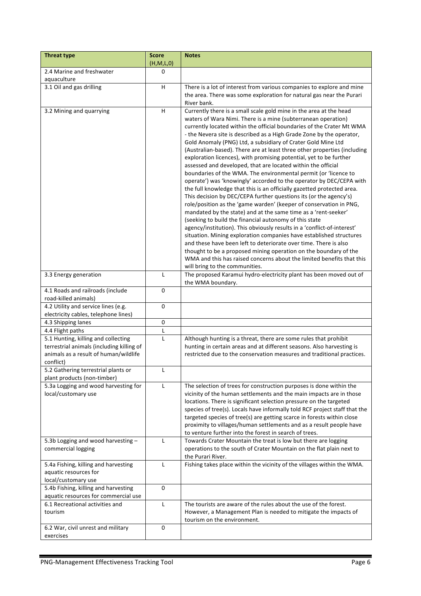| <b>Threat type</b>                           | <b>Score</b> | <b>Notes</b>                                                                                                                                     |
|----------------------------------------------|--------------|--------------------------------------------------------------------------------------------------------------------------------------------------|
|                                              | (H,M,L,0)    |                                                                                                                                                  |
| 2.4 Marine and freshwater                    | 0            |                                                                                                                                                  |
| aquaculture                                  |              |                                                                                                                                                  |
| $\overline{3.1}$ Oil and gas drilling        | н            | There is a lot of interest from various companies to explore and mine                                                                            |
|                                              |              | the area. There was some exploration for natural gas near the Purari                                                                             |
|                                              |              | River bank.                                                                                                                                      |
| 3.2 Mining and quarrying                     | H            | Currently there is a small scale gold mine in the area at the head                                                                               |
|                                              |              | waters of Wara Nimi. There is a mine (subterranean operation)                                                                                    |
|                                              |              | currently located within the official boundaries of the Crater Mt WMA<br>- the Nevera site is described as a High Grade Zone by the operator,    |
|                                              |              | Gold Anomaly (PNG) Ltd, a subsidiary of Crater Gold Mine Ltd                                                                                     |
|                                              |              | (Australian-based). There are at least three other properties (including                                                                         |
|                                              |              | exploration licences), with promising potential, yet to be further                                                                               |
|                                              |              | assessed and developed, that are located within the official                                                                                     |
|                                              |              | boundaries of the WMA. The environmental permit (or 'licence to                                                                                  |
|                                              |              | operate') was 'knowingly' accorded to the operator by DEC/CEPA with                                                                              |
|                                              |              | the full knowledge that this is an officially gazetted protected area.                                                                           |
|                                              |              | This decision by DEC/CEPA further questions its (or the agency's)                                                                                |
|                                              |              | role/position as the 'game warden' (keeper of conservation in PNG,<br>mandated by the state) and at the same time as a 'rent-seeker'             |
|                                              |              | (seeking to build the financial autonomy of this state                                                                                           |
|                                              |              | agency/institution). This obviously results in a 'conflict-of-interest'                                                                          |
|                                              |              | situation. Mining exploration companies have established structures                                                                              |
|                                              |              | and these have been left to deteriorate over time. There is also                                                                                 |
|                                              |              | thought to be a proposed mining operation on the boundary of the                                                                                 |
|                                              |              | WMA and this has raised concerns about the limited benefits that this                                                                            |
|                                              |              | will bring to the communities.                                                                                                                   |
| 3.3 Energy generation                        | L            | The proposed Karamui hydro-electricity plant has been moved out of<br>the WMA boundary.                                                          |
| 4.1 Roads and railroads (include             | 0            |                                                                                                                                                  |
| road-killed animals)                         |              |                                                                                                                                                  |
| 4.2 Utility and service lines (e.g.          | 0            |                                                                                                                                                  |
| electricity cables, telephone lines)         | 0            |                                                                                                                                                  |
| 4.3 Shipping lanes<br>4.4 Flight paths       | L            |                                                                                                                                                  |
| 5.1 Hunting, killing and collecting          | L            | Although hunting is a threat, there are some rules that prohibit                                                                                 |
| terrestrial animals (including killing of    |              | hunting in certain areas and at different seasons. Also harvesting is                                                                            |
| animals as a result of human/wildlife        |              | restricted due to the conservation measures and traditional practices.                                                                           |
| conflict)                                    |              |                                                                                                                                                  |
| 5.2 Gathering terrestrial plants or          |              |                                                                                                                                                  |
| plant products (non-timber)                  |              |                                                                                                                                                  |
| 5.3a Logging and wood harvesting for         | L            | The selection of trees for construction purposes is done within the                                                                              |
| local/customary use                          |              | vicinity of the human settlements and the main impacts are in those                                                                              |
|                                              |              | locations. There is significant selection pressure on the targeted<br>species of tree(s). Locals have informally told RCF project staff that the |
|                                              |              | targeted species of tree(s) are getting scarce in forests within close                                                                           |
|                                              |              | proximity to villages/human settlements and as a result people have                                                                              |
|                                              |              | to venture further into the forest in search of trees.                                                                                           |
| 5.3b Logging and wood harvesting -           | L            | Towards Crater Mountain the treat is low but there are logging                                                                                   |
| commercial logging                           |              | operations to the south of Crater Mountain on the flat plain next to                                                                             |
|                                              |              | the Purari River.                                                                                                                                |
| 5.4a Fishing, killing and harvesting         | L            | Fishing takes place within the vicinity of the villages within the WMA.                                                                          |
| aquatic resources for<br>local/customary use |              |                                                                                                                                                  |
| 5.4b Fishing, killing and harvesting         | 0            |                                                                                                                                                  |
| aquatic resources for commercial use         |              |                                                                                                                                                  |
| 6.1 Recreational activities and              | L            | The tourists are aware of the rules about the use of the forest.                                                                                 |
| tourism                                      |              | However, a Management Plan is needed to mitigate the impacts of                                                                                  |
|                                              |              | tourism on the environment.                                                                                                                      |
| 6.2 War, civil unrest and military           | 0            |                                                                                                                                                  |
| exercises                                    |              |                                                                                                                                                  |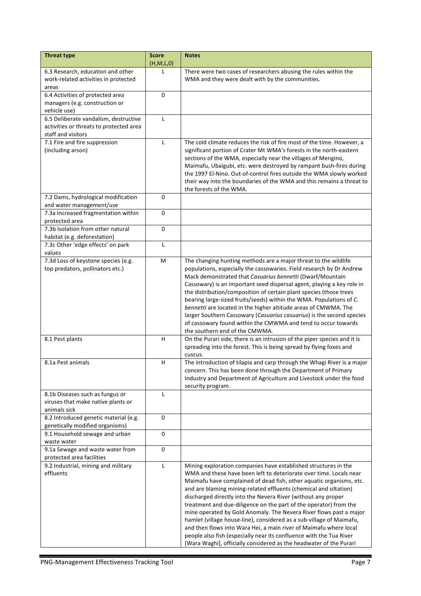| <b>Threat type</b>                      | <b>Score</b><br>(H, M, L, 0) | <b>Notes</b>                                                                                                                             |
|-----------------------------------------|------------------------------|------------------------------------------------------------------------------------------------------------------------------------------|
| 6.3 Research, education and other       | L                            | There were two cases of researchers abusing the rules within the                                                                         |
| work-related activities in protected    |                              | WMA and they were dealt with by the communities.                                                                                         |
| areas                                   |                              |                                                                                                                                          |
| 6.4 Activities of protected area        | 0                            |                                                                                                                                          |
| managers (e.g. construction or          |                              |                                                                                                                                          |
| vehicle use)                            |                              |                                                                                                                                          |
| 6.5 Deliberate vandalism, destructive   | L                            |                                                                                                                                          |
| activities or threats to protected area |                              |                                                                                                                                          |
| staff and visitors                      |                              |                                                                                                                                          |
| 7.1 Fire and fire suppression           | L                            | The cold climate reduces the risk of fire most of the time. However, a                                                                   |
| (including arson)                       |                              | significant portion of Crater Mt WMA's forests in the north-eastern                                                                      |
|                                         |                              | sections of the WMA, especially near the villages of Mengino,                                                                            |
|                                         |                              | Maimafu, Ubaigubi, etc. were destroyed by rampant bush-fires during                                                                      |
|                                         |                              | the 1997 El-Nino. Out-of-control fires outside the WMA slowly worked                                                                     |
|                                         |                              | their way into the boundaries of the WMA and this remains a threat to                                                                    |
|                                         |                              | the forests of the WMA.                                                                                                                  |
| 7.2 Dams, hydrological modification     | $\mathbf 0$                  |                                                                                                                                          |
| and water management/use                |                              |                                                                                                                                          |
| 7.3a Increased fragmentation within     | 0                            |                                                                                                                                          |
| protected area                          |                              |                                                                                                                                          |
| 7.3b Isolation from other natural       | $\mathbf 0$                  |                                                                                                                                          |
| habitat (e.g. deforestation)            |                              |                                                                                                                                          |
| 7.3c Other 'edge effects' on park       | Г                            |                                                                                                                                          |
| values                                  |                              |                                                                                                                                          |
| 7.3d Loss of keystone species (e.g.     | M                            | The changing hunting methods are a major threat to the wildlife                                                                          |
| top predators, pollinators etc.)        |                              | populations, especially the cassowaries. Field research by Dr Andrew                                                                     |
|                                         |                              | Mack demonstrated that Casuarius bennetti (Dwarf/Mountain<br>Cassowary) is an important seed dispersal agent, playing a key role in      |
|                                         |                              | the distribution/composition of certain plant species (those trees                                                                       |
|                                         |                              | bearing large-sized fruits/seeds) within the WMA. Populations of C.                                                                      |
|                                         |                              | bennetti are located in the higher altitude areas of CMWMA. The                                                                          |
|                                         |                              | larger Southern Cassowary (Casuarius casuarius) is the second species                                                                    |
|                                         |                              | of cassowary found within the CMWMA and tend to occur towards                                                                            |
|                                         |                              | the southern end of the CMWMA.                                                                                                           |
| 8.1 Pest plants                         | H                            | On the Purari side, there is an intrusion of the piper species and it is                                                                 |
|                                         |                              | spreading into the forest. This is being spread by flying foxes and                                                                      |
|                                         |                              | cuscus.                                                                                                                                  |
| 8.1a Pest animals                       | н                            | The introduction of tilapia and carp through the Whagi River is a major                                                                  |
|                                         |                              | concern. This has been done through the Department of Primary                                                                            |
|                                         |                              | Industry and Department of Agriculture and Livestock under the food                                                                      |
|                                         |                              | security program.                                                                                                                        |
| 8.1b Diseases such as fungus or         | $\mathsf{L}$                 |                                                                                                                                          |
| viruses that make native plants or      |                              |                                                                                                                                          |
| animals sick                            |                              |                                                                                                                                          |
| 8.2 Introduced genetic material (e.g.   | $\mathbf 0$                  |                                                                                                                                          |
| genetically modified organisms)         |                              |                                                                                                                                          |
| 9.1 Household sewage and urban          | $\pmb{0}$                    |                                                                                                                                          |
| waste water                             |                              |                                                                                                                                          |
| 9.1a Sewage and waste water from        | 0                            |                                                                                                                                          |
| protected area facilities               |                              |                                                                                                                                          |
| 9.2 Industrial, mining and military     | L                            | Mining exploration companies have established structures in the                                                                          |
| effluents                               |                              | WMA and these have been left to deteriorate over time. Locals near                                                                       |
|                                         |                              | Maimafu have complained of dead fish, other aquatic organisms, etc.<br>and are blaming mining-related effluents (chemical and siltation) |
|                                         |                              | discharged directly into the Nevera River (without any proper                                                                            |
|                                         |                              | treatment and due-diligence on the part of the operator) from the                                                                        |
|                                         |                              | mine operated by Gold Anomaly. The Nevera River flows past a major                                                                       |
|                                         |                              | hamlet (village house-line), considered as a sub-village of Maimafu,                                                                     |
|                                         |                              | and then flows into Wara Hei, a main river of Maimafu where local                                                                        |
|                                         |                              | people also fish (especially near its confluence with the Tua River                                                                      |
|                                         |                              | [Wara Waghi], officially considered as the headwater of the Purari                                                                       |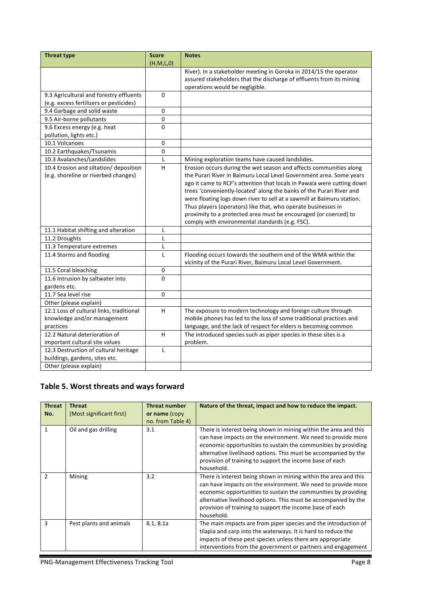| <b>Threat type</b>                       | <b>Score</b> | <b>Notes</b>                                                           |
|------------------------------------------|--------------|------------------------------------------------------------------------|
|                                          | (H,M,L,0)    |                                                                        |
|                                          |              | River). In a stakeholder meeting in Goroka in 2014/15 the operator     |
|                                          |              | assured stakeholders that the discharge of effluents from its mining   |
|                                          |              | operations would be negligible.                                        |
| 9.3 Agricultural and forestry effluents  | $\Omega$     |                                                                        |
| (e.g. excess fertilizers or pesticides)  |              |                                                                        |
| 9.4 Garbage and solid waste              | $\Omega$     |                                                                        |
| 9.5 Air-borne pollutants                 | 0            |                                                                        |
| 9.6 Excess energy (e.g. heat             | 0            |                                                                        |
| pollution, lights etc.)                  |              |                                                                        |
| $10.1$ Volcanoes                         | $\Omega$     |                                                                        |
| 10.2 Earthquakes/Tsunamis                | 0            |                                                                        |
| 10.3 Avalanches/Landslides               | L            | Mining exploration teams have caused landslides.                       |
| 10.4 Erosion and siltation/ deposition   | H            | Erosion occurs during the wet season and affects communities along     |
| (e.g. shoreline or riverbed changes)     |              | the Purari River in Baimuru Local Level Government area. Some years    |
|                                          |              | ago it came to RCF's attention that locals in Pawaia were cutting down |
|                                          |              | trees 'conveniently-located' along the banks of the Purari River and   |
|                                          |              | were floating logs down river to sell at a sawmill at Baimuru station. |
|                                          |              | Thus players (operators) like that, who operate businesses in          |
|                                          |              | proximity to a protected area must be encouraged (or coerced) to       |
|                                          |              | comply with environmental standards (e.g. FSC).                        |
| 11.1 Habitat shifting and alteration     | L            |                                                                        |
| 11.2 Droughts                            | L            |                                                                        |
| 11.3 Temperature extremes                | L            |                                                                        |
| 11.4 Storms and flooding                 | L            | Flooding occurs towards the southern end of the WMA within the         |
|                                          |              | vicinity of the Purari River, Baimuru Local Level Government.          |
| 11.5 Coral bleaching                     | $\mathbf 0$  |                                                                        |
| 11.6 Intrusion by saltwater into         | 0            |                                                                        |
| gardens etc.                             |              |                                                                        |
| 11.7 Sea level rise                      | $\Omega$     |                                                                        |
| Other (please explain)                   |              |                                                                        |
| 12.1 Loss of cultural links, traditional | H            | The exposure to modern technology and foreign culture through          |
| knowledge and/or management              |              | mobile phones has led to the loss of some traditional practices and    |
| practices                                |              | language, and the lack of respect for elders is becoming common        |
| 12.2 Natural deterioration of            | H.           | The introduced species such as piper species in these sites is a       |
| important cultural site values           |              | problem.                                                               |
| 12.3 Destruction of cultural heritage    | $\mathsf{L}$ |                                                                        |
| buildings, gardens, sites etc.           |              |                                                                        |
| Other (please explain)                   |              |                                                                        |

# Table 5. Worst threats and ways forward

| <b>Threat</b><br>No. | <b>Threat</b><br>(Most significant first) | <b>Threat number</b><br>or name (copy<br>no. from Table 4) | Nature of the threat, impact and how to reduce the impact.                                                                                                                                                                                                                                                                                      |
|----------------------|-------------------------------------------|------------------------------------------------------------|-------------------------------------------------------------------------------------------------------------------------------------------------------------------------------------------------------------------------------------------------------------------------------------------------------------------------------------------------|
| 1                    | Oil and gas drilling                      | 3.1                                                        | There is interest being shown in mining within the area and this<br>can have impacts on the environment. We need to provide more<br>economic opportunities to sustain the communities by providing<br>alternative livelihood options. This must be accompanied by the<br>provision of training to support the income base of each<br>household. |
| $\mathcal{P}$        | Mining                                    | 3.2                                                        | There is interest being shown in mining within the area and this<br>can have impacts on the environment. We need to provide more<br>economic opportunities to sustain the communities by providing<br>alternative livelihood options. This must be accompanied by the<br>provision of training to support the income base of each<br>household. |
| 3                    | Pest plants and animals                   | 8.1, 8.1a                                                  | The main impacts are from piper species and the introduction of<br>tilapia and carp into the waterways. It is hard to reduce the<br>impacts of these pest species unless there are appropriate<br>interventions from the government or partners and engagement                                                                                  |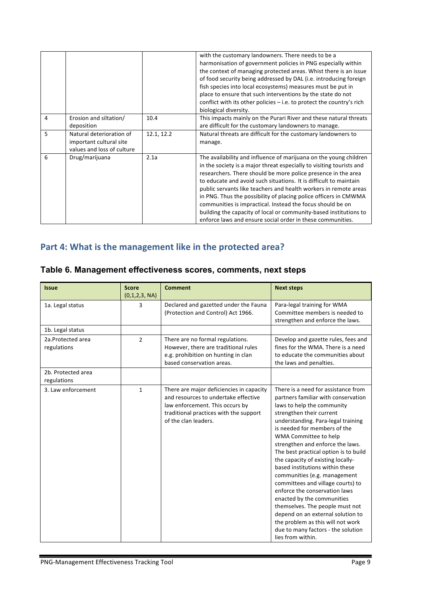|   |                                                                                   |            | with the customary landowners. There needs to be a<br>harmonisation of government policies in PNG especially within<br>the context of managing protected areas. Whist there is an issue<br>of food security being addressed by DAL (i.e. introducing foreign<br>fish species into local ecosystems) measures must be put in<br>place to ensure that such interventions by the state do not<br>conflict with its other policies $-$ i.e. to protect the country's rich<br>biological diversity.                                                                                                                           |
|---|-----------------------------------------------------------------------------------|------------|--------------------------------------------------------------------------------------------------------------------------------------------------------------------------------------------------------------------------------------------------------------------------------------------------------------------------------------------------------------------------------------------------------------------------------------------------------------------------------------------------------------------------------------------------------------------------------------------------------------------------|
| 4 | Erosion and siltation/<br>deposition                                              | 10.4       | This impacts mainly on the Purari River and these natural threats<br>are difficult for the customary landowners to manage.                                                                                                                                                                                                                                                                                                                                                                                                                                                                                               |
| 5 | Natural deterioration of<br>important cultural site<br>values and loss of culture | 12.1, 12.2 | Natural threats are difficult for the customary landowners to<br>manage.                                                                                                                                                                                                                                                                                                                                                                                                                                                                                                                                                 |
| 6 | Drug/marijuana                                                                    | 2.1a       | The availability and influence of marijuana on the young children<br>in the society is a major threat especially to visiting tourists and<br>researchers. There should be more police presence in the area<br>to educate and avoid such situations. It is difficult to maintain<br>public servants like teachers and health workers in remote areas<br>in PNG. Thus the possibility of placing police officers in CMWMA<br>communities is impractical. Instead the focus should be on<br>building the capacity of local or community-based institutions to<br>enforce laws and ensure social order in these communities. |

# Part 4: What is the management like in the protected area?

| Table 6. Management effectiveness scores, comments, next steps |
|----------------------------------------------------------------|
|----------------------------------------------------------------|

| <b>Issue</b>                      | <b>Score</b><br>(0,1,2,3, NA) | <b>Comment</b>                                                                                                                                                                        | <b>Next steps</b>                                                                                                                                                                                                                                                                                                                                                                                                                                                                                                                                                                                                                                                                                    |
|-----------------------------------|-------------------------------|---------------------------------------------------------------------------------------------------------------------------------------------------------------------------------------|------------------------------------------------------------------------------------------------------------------------------------------------------------------------------------------------------------------------------------------------------------------------------------------------------------------------------------------------------------------------------------------------------------------------------------------------------------------------------------------------------------------------------------------------------------------------------------------------------------------------------------------------------------------------------------------------------|
| 1a. Legal status                  | 3                             | Declared and gazetted under the Fauna<br>(Protection and Control) Act 1966.                                                                                                           | Para-legal training for WMA<br>Committee members is needed to<br>strengthen and enforce the laws.                                                                                                                                                                                                                                                                                                                                                                                                                                                                                                                                                                                                    |
| 1b. Legal status                  |                               |                                                                                                                                                                                       |                                                                                                                                                                                                                                                                                                                                                                                                                                                                                                                                                                                                                                                                                                      |
| 2a.Protected area<br>regulations  | $\overline{2}$                | There are no formal regulations.<br>However, there are traditional rules<br>e.g. prohibition on hunting in clan<br>based conservation areas.                                          | Develop and gazette rules, fees and<br>fines for the WMA. There is a need<br>to educate the communities about<br>the laws and penalties.                                                                                                                                                                                                                                                                                                                                                                                                                                                                                                                                                             |
| 2b. Protected area<br>regulations |                               |                                                                                                                                                                                       |                                                                                                                                                                                                                                                                                                                                                                                                                                                                                                                                                                                                                                                                                                      |
| 3. Law enforcement                | $\mathbf{1}$                  | There are major deficiencies in capacity<br>and resources to undertake effective<br>law enforcement. This occurs by<br>traditional practices with the support<br>of the clan leaders. | There is a need for assistance from<br>partners familiar with conservation<br>laws to help the community<br>strengthen their current<br>understanding. Para-legal training<br>is needed for members of the<br>WMA Committee to help<br>strengthen and enforce the laws.<br>The best practical option is to build<br>the capacity of existing locally-<br>based institutions within these<br>communities (e.g. management<br>committees and village courts) to<br>enforce the conservation laws<br>enacted by the communities<br>themselves. The people must not<br>depend on an external solution to<br>the problem as this will not work<br>due to many factors - the solution<br>lies from within. |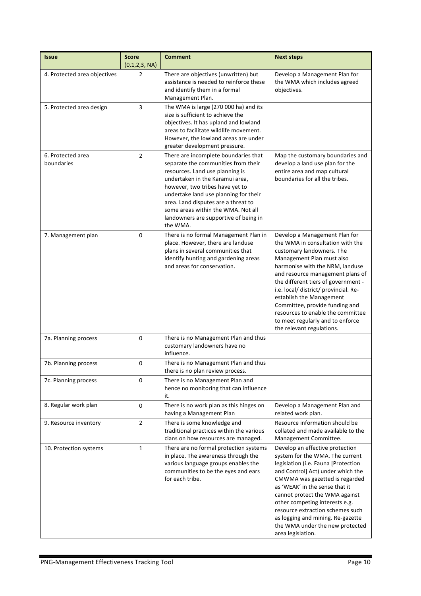| <b>Issue</b>                    | <b>Score</b><br>(0,1,2,3, NA) | <b>Comment</b>                                                                                                                                                                                                                                                                                                                                                  | <b>Next steps</b>                                                                                                                                                                                                                                                                                                                                                                                                                                      |
|---------------------------------|-------------------------------|-----------------------------------------------------------------------------------------------------------------------------------------------------------------------------------------------------------------------------------------------------------------------------------------------------------------------------------------------------------------|--------------------------------------------------------------------------------------------------------------------------------------------------------------------------------------------------------------------------------------------------------------------------------------------------------------------------------------------------------------------------------------------------------------------------------------------------------|
| 4. Protected area objectives    | 2                             | There are objectives (unwritten) but<br>assistance is needed to reinforce these<br>and identify them in a formal<br>Management Plan.                                                                                                                                                                                                                            | Develop a Management Plan for<br>the WMA which includes agreed<br>objectives.                                                                                                                                                                                                                                                                                                                                                                          |
| 5. Protected area design        | 3                             | The WMA is large (270 000 ha) and its<br>size is sufficient to achieve the<br>objectives. It has upland and lowland<br>areas to facilitate wildlife movement.<br>However, the lowland areas are under<br>greater development pressure.                                                                                                                          |                                                                                                                                                                                                                                                                                                                                                                                                                                                        |
| 6. Protected area<br>boundaries | $\overline{2}$                | There are incomplete boundaries that<br>separate the communities from their<br>resources. Land use planning is<br>undertaken in the Karamui area,<br>however, two tribes have yet to<br>undertake land use planning for their<br>area. Land disputes are a threat to<br>some areas within the WMA. Not all<br>landowners are supportive of being in<br>the WMA. | Map the customary boundaries and<br>develop a land use plan for the<br>entire area and map cultural<br>boundaries for all the tribes.                                                                                                                                                                                                                                                                                                                  |
| 7. Management plan              | 0                             | There is no formal Management Plan in<br>place. However, there are landuse<br>plans in several communities that<br>identify hunting and gardening areas<br>and areas for conservation.                                                                                                                                                                          | Develop a Management Plan for<br>the WMA in consultation with the<br>customary landowners. The<br>Management Plan must also<br>harmonise with the NRM, landuse<br>and resource management plans of<br>the different tiers of government -<br>i.e. local/ district/ provincial. Re-<br>establish the Management<br>Committee, provide funding and<br>resources to enable the committee<br>to meet regularly and to enforce<br>the relevant regulations. |
| 7a. Planning process            | 0                             | There is no Management Plan and thus<br>customary landowners have no<br>influence.                                                                                                                                                                                                                                                                              |                                                                                                                                                                                                                                                                                                                                                                                                                                                        |
| 7b. Planning process            | 0                             | There is no Management Plan and thus<br>there is no plan review process.                                                                                                                                                                                                                                                                                        |                                                                                                                                                                                                                                                                                                                                                                                                                                                        |
| 7c. Planning process            | 0                             | There is no Management Plan and<br>hence no monitoring that can influence<br>it.                                                                                                                                                                                                                                                                                |                                                                                                                                                                                                                                                                                                                                                                                                                                                        |
| 8. Regular work plan            | 0                             | There is no work plan as this hinges on<br>having a Management Plan                                                                                                                                                                                                                                                                                             | Develop a Management Plan and<br>related work plan.                                                                                                                                                                                                                                                                                                                                                                                                    |
| 9. Resource inventory           | $\overline{2}$                | There is some knowledge and<br>traditional practices within the various<br>clans on how resources are managed.                                                                                                                                                                                                                                                  | Resource information should be<br>collated and made available to the<br>Management Committee.                                                                                                                                                                                                                                                                                                                                                          |
| 10. Protection systems          | $\mathbf{1}$                  | There are no formal protection systems<br>in place. The awareness through the<br>various language groups enables the<br>communities to be the eyes and ears<br>for each tribe.                                                                                                                                                                                  | Develop an effective protection<br>system for the WMA. The current<br>legislation (i.e. Fauna [Protection<br>and Control] Act) under which the<br>CMWMA was gazetted is regarded<br>as 'WEAK' in the sense that it<br>cannot protect the WMA against<br>other competing interests e.g.<br>resource extraction schemes such<br>as logging and mining. Re-gazette<br>the WMA under the new protected<br>area legislation.                                |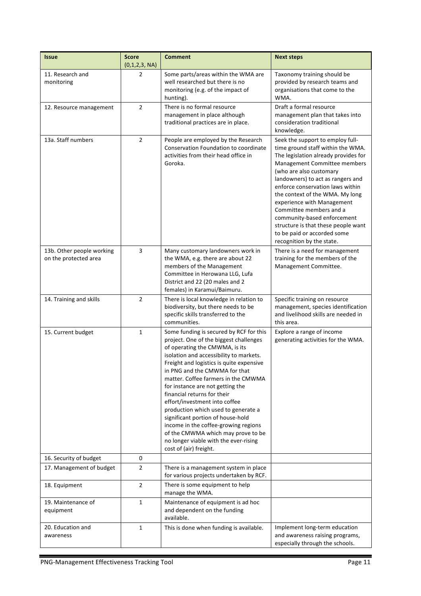| <b>Issue</b>                                       | <b>Score</b><br>(0,1,2,3, NA) | <b>Comment</b>                                                                                                                                                                                                                                                                                                                                                                                                                                                                                                                                                                                                      | <b>Next steps</b>                                                                                                                                                                                                                                                                                                                                                                                                                                                               |
|----------------------------------------------------|-------------------------------|---------------------------------------------------------------------------------------------------------------------------------------------------------------------------------------------------------------------------------------------------------------------------------------------------------------------------------------------------------------------------------------------------------------------------------------------------------------------------------------------------------------------------------------------------------------------------------------------------------------------|---------------------------------------------------------------------------------------------------------------------------------------------------------------------------------------------------------------------------------------------------------------------------------------------------------------------------------------------------------------------------------------------------------------------------------------------------------------------------------|
| 11. Research and<br>monitoring                     | 2                             | Some parts/areas within the WMA are<br>well researched but there is no<br>monitoring (e.g. of the impact of<br>hunting).                                                                                                                                                                                                                                                                                                                                                                                                                                                                                            | Taxonomy training should be<br>provided by research teams and<br>organisations that come to the<br>WMA.                                                                                                                                                                                                                                                                                                                                                                         |
| 12. Resource management                            | $\overline{2}$                | There is no formal resource<br>management in place although<br>traditional practices are in place.                                                                                                                                                                                                                                                                                                                                                                                                                                                                                                                  | Draft a formal resource<br>management plan that takes into<br>consideration traditional<br>knowledge.                                                                                                                                                                                                                                                                                                                                                                           |
| 13a. Staff numbers                                 | $\overline{2}$                | People are employed by the Research<br>Conservation Foundation to coordinate<br>activities from their head office in<br>Goroka.                                                                                                                                                                                                                                                                                                                                                                                                                                                                                     | Seek the support to employ full-<br>time ground staff within the WMA.<br>The legislation already provides for<br>Management Committee members<br>(who are also customary<br>landowners) to act as rangers and<br>enforce conservation laws within<br>the context of the WMA. My long<br>experience with Management<br>Committee members and a<br>community-based enforcement<br>structure is that these people want<br>to be paid or accorded some<br>recognition by the state. |
| 13b. Other people working<br>on the protected area | 3                             | Many customary landowners work in<br>the WMA, e.g. there are about 22<br>members of the Management<br>Committee in Herowana LLG, Lufa<br>District and 22 (20 males and 2<br>females) in Karamui/Baimuru.                                                                                                                                                                                                                                                                                                                                                                                                            | There is a need for management<br>training for the members of the<br>Management Committee.                                                                                                                                                                                                                                                                                                                                                                                      |
| 14. Training and skills                            | $\overline{2}$                | There is local knowledge in relation to<br>biodiversity, but there needs to be<br>specific skills transferred to the<br>communities.                                                                                                                                                                                                                                                                                                                                                                                                                                                                                | Specific training on resource<br>management, species identification<br>and livelihood skills are needed in<br>this area.                                                                                                                                                                                                                                                                                                                                                        |
| 15. Current budget                                 | $\mathbf{1}$                  | Some funding is secured by RCF for this<br>project. One of the biggest challenges<br>of operating the CMWMA, is its<br>isolation and accessibility to markets.<br>Freight and logistics is quite expensive<br>in PNG and the CMWMA for that<br>matter. Coffee farmers in the CMWMA<br>for instance are not getting the<br>financial returns for their<br>effort/investment into coffee<br>production which used to generate a<br>significant portion of house-hold<br>income in the coffee-growing regions<br>of the CMWMA which may prove to be<br>no longer viable with the ever-rising<br>cost of (air) freight. | Explore a range of income<br>generating activities for the WMA.                                                                                                                                                                                                                                                                                                                                                                                                                 |
| 16. Security of budget                             | 0                             |                                                                                                                                                                                                                                                                                                                                                                                                                                                                                                                                                                                                                     |                                                                                                                                                                                                                                                                                                                                                                                                                                                                                 |
| 17. Management of budget                           | $\overline{2}$                | There is a management system in place<br>for various projects undertaken by RCF.                                                                                                                                                                                                                                                                                                                                                                                                                                                                                                                                    |                                                                                                                                                                                                                                                                                                                                                                                                                                                                                 |
| 18. Equipment                                      | $\overline{2}$                | There is some equipment to help<br>manage the WMA.                                                                                                                                                                                                                                                                                                                                                                                                                                                                                                                                                                  |                                                                                                                                                                                                                                                                                                                                                                                                                                                                                 |
| 19. Maintenance of<br>equipment                    | $\mathbf{1}$                  | Maintenance of equipment is ad hoc<br>and dependent on the funding<br>available.                                                                                                                                                                                                                                                                                                                                                                                                                                                                                                                                    |                                                                                                                                                                                                                                                                                                                                                                                                                                                                                 |
| 20. Education and<br>awareness                     | 1                             | This is done when funding is available.                                                                                                                                                                                                                                                                                                                                                                                                                                                                                                                                                                             | Implement long-term education<br>and awareness raising programs,<br>especially through the schools.                                                                                                                                                                                                                                                                                                                                                                             |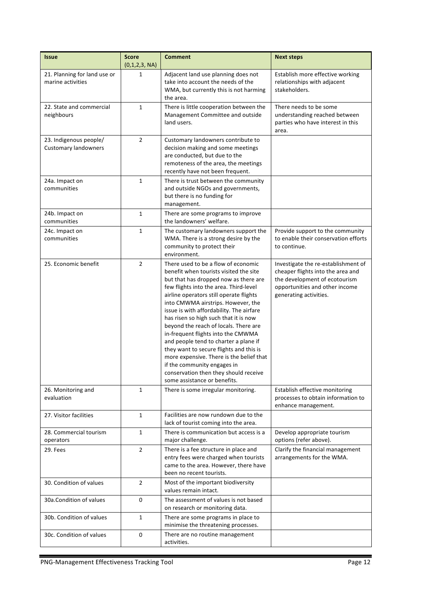| <b>Issue</b>                                          | <b>Score</b><br>(0,1,2,3, NA) | <b>Comment</b>                                                                                                                                                                                                                                                                                                                                                                                                                                                                                                                                                                                                                                                | <b>Next steps</b>                                                                                                                                                     |
|-------------------------------------------------------|-------------------------------|---------------------------------------------------------------------------------------------------------------------------------------------------------------------------------------------------------------------------------------------------------------------------------------------------------------------------------------------------------------------------------------------------------------------------------------------------------------------------------------------------------------------------------------------------------------------------------------------------------------------------------------------------------------|-----------------------------------------------------------------------------------------------------------------------------------------------------------------------|
| 21. Planning for land use or<br>marine activities     | 1                             | Adjacent land use planning does not<br>take into account the needs of the<br>WMA, but currently this is not harming<br>the area.                                                                                                                                                                                                                                                                                                                                                                                                                                                                                                                              | Establish more effective working<br>relationships with adjacent<br>stakeholders.                                                                                      |
| 22. State and commercial<br>neighbours                | 1                             | There is little cooperation between the<br>Management Committee and outside<br>land users.                                                                                                                                                                                                                                                                                                                                                                                                                                                                                                                                                                    | There needs to be some<br>understanding reached between<br>parties who have interest in this<br>area.                                                                 |
| 23. Indigenous people/<br><b>Customary landowners</b> | $\overline{2}$                | Customary landowners contribute to<br>decision making and some meetings<br>are conducted, but due to the<br>remoteness of the area, the meetings<br>recently have not been frequent.                                                                                                                                                                                                                                                                                                                                                                                                                                                                          |                                                                                                                                                                       |
| 24a. Impact on<br>communities                         | 1                             | There is trust between the community<br>and outside NGOs and governments,<br>but there is no funding for<br>management.                                                                                                                                                                                                                                                                                                                                                                                                                                                                                                                                       |                                                                                                                                                                       |
| 24b. Impact on<br>communities                         | $\mathbf 1$                   | There are some programs to improve<br>the landowners' welfare.                                                                                                                                                                                                                                                                                                                                                                                                                                                                                                                                                                                                |                                                                                                                                                                       |
| 24c. Impact on<br>communities                         | $\mathbf{1}$                  | The customary landowners support the<br>WMA. There is a strong desire by the<br>community to protect their<br>environment.                                                                                                                                                                                                                                                                                                                                                                                                                                                                                                                                    | Provide support to the community<br>to enable their conservation efforts<br>to continue.                                                                              |
| 25. Economic benefit                                  | $\overline{2}$                | There used to be a flow of economic<br>benefit when tourists visited the site<br>but that has dropped now as there are<br>few flights into the area. Third-level<br>airline operators still operate flights<br>into CMWMA airstrips. However, the<br>issue is with affordability. The airfare<br>has risen so high such that it is now<br>beyond the reach of locals. There are<br>in-frequent flights into the CMWMA<br>and people tend to charter a plane if<br>they want to secure flights and this is<br>more expensive. There is the belief that<br>if the community engages in<br>conservation then they should receive<br>some assistance or benefits. | Investigate the re-establishment of<br>cheaper flights into the area and<br>the development of ecotourism<br>opportunities and other income<br>generating activities. |
| 26. Monitoring and<br>evaluation                      | $\mathbf{1}$                  | There is some irregular monitoring.                                                                                                                                                                                                                                                                                                                                                                                                                                                                                                                                                                                                                           | Establish effective monitoring<br>processes to obtain information to<br>enhance management.                                                                           |
| 27. Visitor facilities                                | $\mathbf{1}$                  | Facilities are now rundown due to the<br>lack of tourist coming into the area.                                                                                                                                                                                                                                                                                                                                                                                                                                                                                                                                                                                |                                                                                                                                                                       |
| 28. Commercial tourism<br>operators                   | $\mathbf{1}$                  | There is communication but access is a<br>major challenge.                                                                                                                                                                                                                                                                                                                                                                                                                                                                                                                                                                                                    | Develop appropriate tourism<br>options (refer above).                                                                                                                 |
| 29. Fees                                              | 2                             | There is a fee structure in place and<br>entry fees were charged when tourists<br>came to the area. However, there have<br>been no recent tourists.                                                                                                                                                                                                                                                                                                                                                                                                                                                                                                           | Clarify the financial management<br>arrangements for the WMA.                                                                                                         |
| 30. Condition of values                               | 2                             | Most of the important biodiversity<br>values remain intact.                                                                                                                                                                                                                                                                                                                                                                                                                                                                                                                                                                                                   |                                                                                                                                                                       |
| 30a.Condition of values                               | 0                             | The assessment of values is not based<br>on research or monitoring data.                                                                                                                                                                                                                                                                                                                                                                                                                                                                                                                                                                                      |                                                                                                                                                                       |
| 30b. Condition of values                              | $\mathbf{1}$                  | There are some programs in place to<br>minimise the threatening processes.                                                                                                                                                                                                                                                                                                                                                                                                                                                                                                                                                                                    |                                                                                                                                                                       |
| 30c. Condition of values                              | $\pmb{0}$                     | There are no routine management<br>activities.                                                                                                                                                                                                                                                                                                                                                                                                                                                                                                                                                                                                                |                                                                                                                                                                       |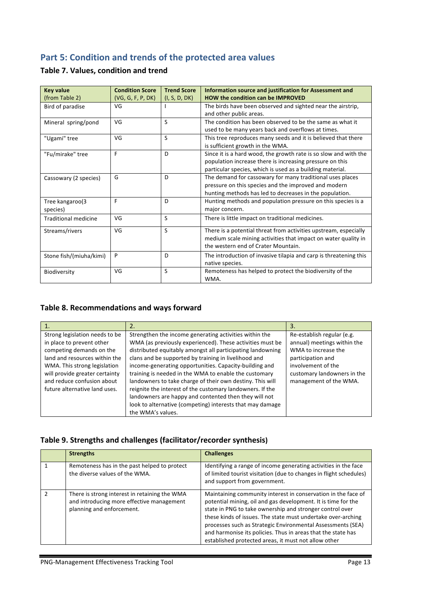## **Part 5: Condition and trends of the protected area values**

### **Table 7. Values, condition and trend**

| <b>Key value</b>            | <b>Condition Score</b> | <b>Trend Score</b> | Information source and justification for Assessment and           |
|-----------------------------|------------------------|--------------------|-------------------------------------------------------------------|
| (from Table 2)              | (VG, G, F, P, DK)      | (I, S, D, DK)      | <b>HOW the condition can be IMPROVED</b>                          |
| Bird of paradise            | VG                     |                    | The birds have been observed and sighted near the airstrip,       |
|                             |                        |                    | and other public areas.                                           |
| Mineral spring/pond         | VG                     | S                  | The condition has been observed to be the same as what it         |
|                             |                        |                    | used to be many years back and overflows at times.                |
| "Ugami" tree                | VG                     | S                  | This tree reproduces many seeds and it is believed that there     |
|                             |                        |                    | is sufficient growth in the WMA.                                  |
| "Fu/mirake" tree            | F                      | D                  | Since it is a hard wood, the growth rate is so slow and with the  |
|                             |                        |                    | population increase there is increasing pressure on this          |
|                             |                        |                    | particular species, which is used as a building material.         |
| Cassowary (2 species)       | G                      | D                  | The demand for cassowary for many traditional uses places         |
|                             |                        |                    | pressure on this species and the improved and modern              |
|                             |                        |                    | hunting methods has led to decreases in the population.           |
| Tree kangaroo(3             | F                      | D                  | Hunting methods and population pressure on this species is a      |
| species)                    |                        |                    | major concern.                                                    |
| <b>Traditional medicine</b> | VG                     | S                  | There is little impact on traditional medicines.                  |
| Streams/rivers              | VG                     | S                  | There is a potential threat from activities upstream, especially  |
|                             |                        |                    | medium scale mining activities that impact on water quality in    |
|                             |                        |                    | the western end of Crater Mountain.                               |
| Stone fish/(miuha/kimi)     | P                      | D                  | The introduction of invasive tilapia and carp is threatening this |
|                             |                        |                    | native species.                                                   |
| Biodiversity                | VG                     | S                  | Remoteness has helped to protect the biodiversity of the          |
|                             |                        |                    | WMA.                                                              |

### Table 8. Recommendations and ways forward

| 1.                                                                                                                                                                                                                                                        |                                                                                                                                                                                                                                                                                                                                                                                                                                                                                                                                                                                                              | 3.                                                                                                                                                                                   |
|-----------------------------------------------------------------------------------------------------------------------------------------------------------------------------------------------------------------------------------------------------------|--------------------------------------------------------------------------------------------------------------------------------------------------------------------------------------------------------------------------------------------------------------------------------------------------------------------------------------------------------------------------------------------------------------------------------------------------------------------------------------------------------------------------------------------------------------------------------------------------------------|--------------------------------------------------------------------------------------------------------------------------------------------------------------------------------------|
| Strong legislation needs to be<br>in place to prevent other<br>competing demands on the<br>land and resources within the<br>WMA. This strong legislation<br>will provide greater certainty<br>and reduce confusion about<br>future alternative land uses. | Strengthen the income generating activities within the<br>WMA (as previously experienced). These activities must be<br>distributed equitably amongst all participating landowning<br>clans and be supported by training in livelihood and<br>income-generating opportunities. Capacity-building and<br>training is needed in the WMA to enable the customary<br>landowners to take charge of their own destiny. This will<br>reignite the interest of the customary landowners. If the<br>landowners are happy and contented then they will not<br>look to alternative (competing) interests that may damage | Re-establish regular (e.g.<br>annual) meetings within the<br>WMA to increase the<br>participation and<br>involvement of the<br>customary landowners in the<br>management of the WMA. |
|                                                                                                                                                                                                                                                           | the WMA's values.                                                                                                                                                                                                                                                                                                                                                                                                                                                                                                                                                                                            |                                                                                                                                                                                      |

### Table 9. Strengths and challenges (facilitator/recorder synthesis)

|               | <b>Strengths</b>                                                                                                        | <b>Challenges</b>                                                                                                                                                                                                                                                                                                                                                                                                                                 |
|---------------|-------------------------------------------------------------------------------------------------------------------------|---------------------------------------------------------------------------------------------------------------------------------------------------------------------------------------------------------------------------------------------------------------------------------------------------------------------------------------------------------------------------------------------------------------------------------------------------|
|               | Remoteness has in the past helped to protect<br>the diverse values of the WMA.                                          | Identifying a range of income generating activities in the face<br>of limited tourist visitation (due to changes in flight schedules)<br>and support from government.                                                                                                                                                                                                                                                                             |
| $\mathcal{D}$ | There is strong interest in retaining the WMA<br>and introducing more effective management<br>planning and enforcement. | Maintaining community interest in conservation in the face of<br>potential mining, oil and gas development. It is time for the<br>state in PNG to take ownership and stronger control over<br>these kinds of issues. The state must undertake over-arching<br>processes such as Strategic Environmental Assessments (SEA)<br>and harmonise its policies. Thus in areas that the state has<br>established protected areas, it must not allow other |